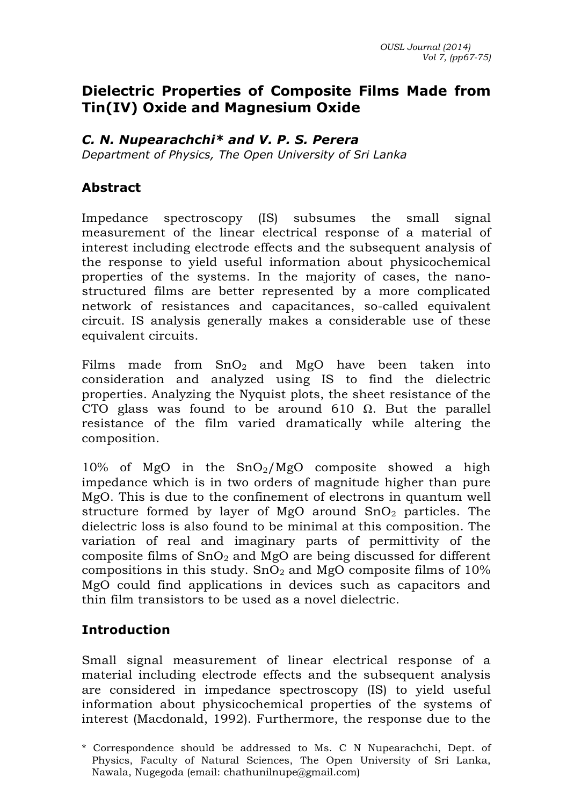#### **Dielectric Properties of Composite Films Made from Tin(IV) Oxide and Magnesium Oxide**

#### *C. N. Nupearachchi\* and V. P. S. Perera*

*Department of Physics, The Open University of Sri Lanka* 

#### **Abstract**

Impedance spectroscopy (IS) subsumes the small signal measurement of the linear electrical response of a material of interest including electrode effects and the subsequent analysis of the response to yield useful information about physicochemical properties of the systems. In the majority of cases, the nanostructured films are better represented by a more complicated network of resistances and capacitances, so-called equivalent circuit. IS analysis generally makes a considerable use of these equivalent circuits.

Films made from  $SnO<sub>2</sub>$  and MgO have been taken into consideration and analyzed using IS to find the dielectric properties. Analyzing the Nyquist plots, the sheet resistance of the CTO glass was found to be around 610  $\Omega$ . But the parallel resistance of the film varied dramatically while altering the composition.

 $10\%$  of MgO in the SnO<sub>2</sub>/MgO composite showed a high impedance which is in two orders of magnitude higher than pure MgO. This is due to the confinement of electrons in quantum well structure formed by layer of MgO around  $SnO<sub>2</sub>$  particles. The dielectric loss is also found to be minimal at this composition. The variation of real and imaginary parts of permittivity of the composite films of  $SnO<sub>2</sub>$  and MgO are being discussed for different compositions in this study.  $SnO<sub>2</sub>$  and MgO composite films of 10% MgO could find applications in devices such as capacitors and thin film transistors to be used as a novel dielectric.

#### **Introduction**

Small signal measurement of linear electrical response of a material including electrode effects and the subsequent analysis are considered in impedance spectroscopy (IS) to yield useful information about physicochemical properties of the systems of interest (Macdonald, 1992). Furthermore, the response due to the

<sup>\*</sup> Correspondence should be addressed to Ms. C N Nupearachchi, Dept. of Physics, Faculty of Natural Sciences, The Open University of Sri Lanka, Nawala, Nugegoda (email: chathunilnupe@gmail.com)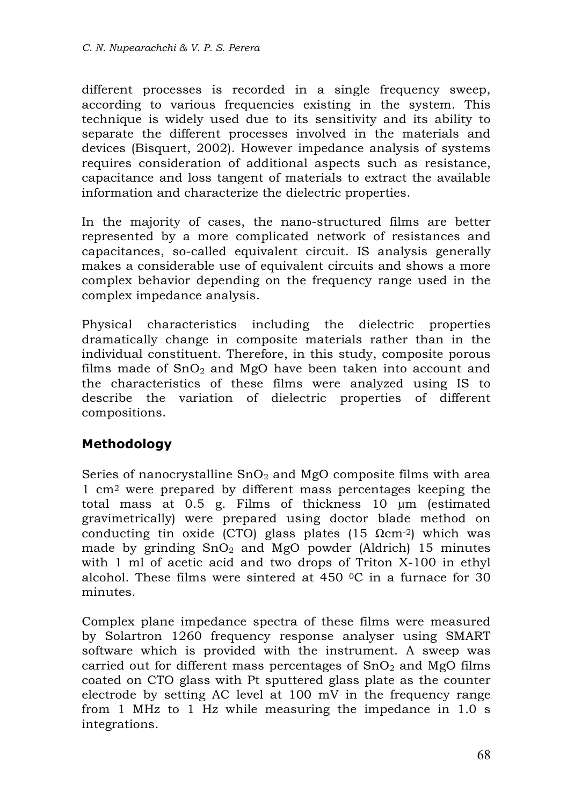different processes is recorded in a single frequency sweep, according to various frequencies existing in the system. This technique is widely used due to its sensitivity and its ability to separate the different processes involved in the materials and devices (Bisquert, 2002). However impedance analysis of systems requires consideration of additional aspects such as resistance, capacitance and loss tangent of materials to extract the available information and characterize the dielectric properties.

In the majority of cases, the nano-structured films are better represented by a more complicated network of resistances and capacitances, so-called equivalent circuit. IS analysis generally makes a considerable use of equivalent circuits and shows a more complex behavior depending on the frequency range used in the complex impedance analysis.

Physical characteristics including the dielectric properties dramatically change in composite materials rather than in the individual constituent. Therefore, in this study, composite porous films made of  $SnO<sub>2</sub>$  and MgO have been taken into account and the characteristics of these films were analyzed using IS to describe the variation of dielectric properties of different compositions.

## **Methodology**

Series of nanocrystalline  $SnO<sub>2</sub>$  and MgO composite films with area 1 cm2 were prepared by different mass percentages keeping the total mass at 0.5 g. Films of thickness 10 µm (estimated gravimetrically) were prepared using doctor blade method on conducting tin oxide (CTO) glass plates (15  $\Omega$ cm<sup>-2</sup>) which was made by grinding  $SnO<sub>2</sub>$  and MgO powder (Aldrich) 15 minutes with 1 ml of acetic acid and two drops of Triton X-100 in ethyl alcohol. These films were sintered at 450 0C in a furnace for 30 minutes.

Complex plane impedance spectra of these films were measured by Solartron 1260 frequency response analyser using SMART software which is provided with the instrument. A sweep was carried out for different mass percentages of  $SnO<sub>2</sub>$  and MgO films coated on CTO glass with Pt sputtered glass plate as the counter electrode by setting AC level at 100 mV in the frequency range from 1 MHz to 1 Hz while measuring the impedance in 1.0 s integrations.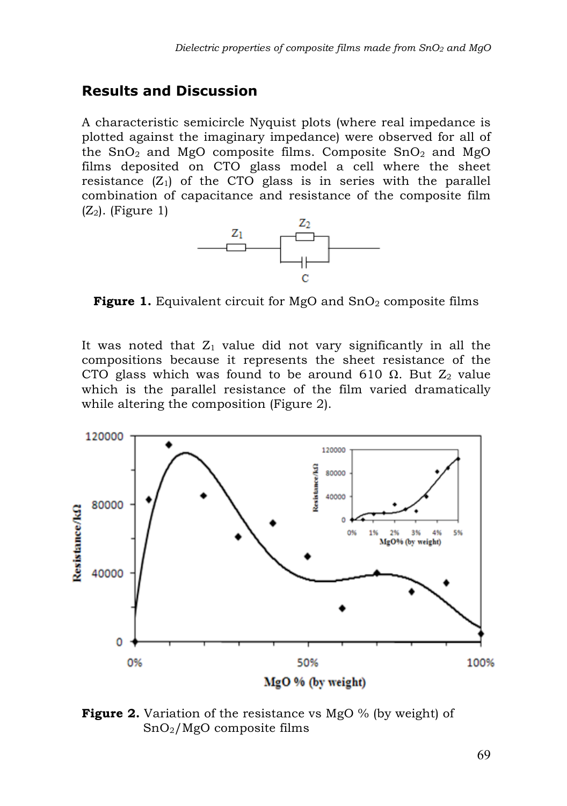## **Results and Discussion**

A characteristic semicircle Nyquist plots (where real impedance is plotted against the imaginary impedance) were observed for all of the  $SnO<sub>2</sub>$  and MgO composite films. Composite  $SnO<sub>2</sub>$  and MgO films deposited on CTO glass model a cell where the sheet resistance  $(Z_1)$  of the CTO glass is in series with the parallel combination of capacitance and resistance of the composite film  $(Z_2)$ . (Figure 1)



**Figure 1.** Equivalent circuit for MgO and SnO<sub>2</sub> composite films

It was noted that  $Z_1$  value did not vary significantly in all the compositions because it represents the sheet resistance of the CTO glass which was found to be around 610  $\Omega$ . But  $Z_2$  value which is the parallel resistance of the film varied dramatically while altering the composition (Figure 2).



**Figure 2.** Variation of the resistance vs MgO % (by weight) of SnO2/MgO composite films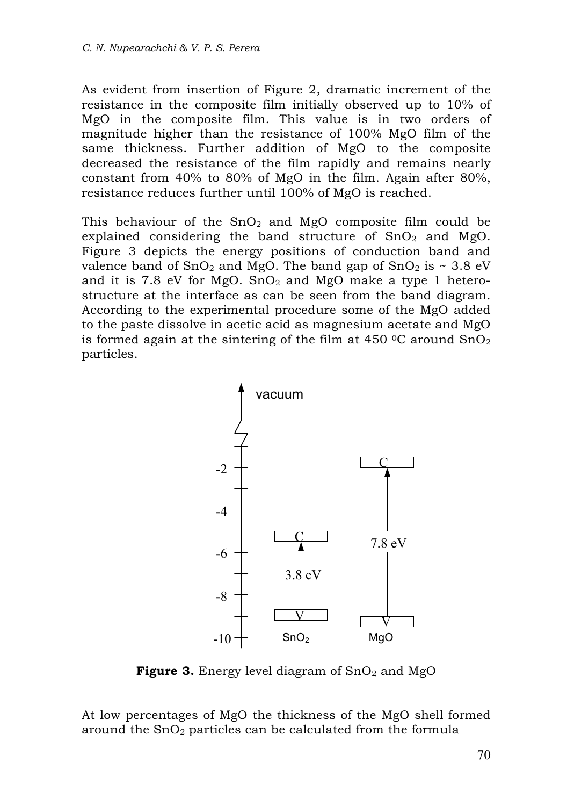As evident from insertion of Figure 2, dramatic increment of the resistance in the composite film initially observed up to 10% of MgO in the composite film. This value is in two orders of magnitude higher than the resistance of 100% MgO film of the same thickness. Further addition of MgO to the composite decreased the resistance of the film rapidly and remains nearly constant from 40% to 80% of MgO in the film. Again after 80%, resistance reduces further until 100% of MgO is reached.

This behaviour of the  $SnO<sub>2</sub>$  and MgO composite film could be explained considering the band structure of  $SnO<sub>2</sub>$  and MgO. Figure 3 depicts the energy positions of conduction band and valence band of  $SnO<sub>2</sub>$  and MgO. The band gap of  $SnO<sub>2</sub>$  is ~ 3.8 eV and it is 7.8 eV for MgO. SnO<sub>2</sub> and MgO make a type 1 heterostructure at the interface as can be seen from the band diagram. According to the experimental procedure some of the MgO added to the paste dissolve in acetic acid as magnesium acetate and MgO is formed again at the sintering of the film at 450  $\degree$ C around SnO<sub>2</sub> particles.



**Figure 3.** Energy level diagram of  $SnO<sub>2</sub>$  and  $MgO$ 

At low percentages of MgO the thickness of the MgO shell formed around the  $SnO<sub>2</sub>$  particles can be calculated from the formula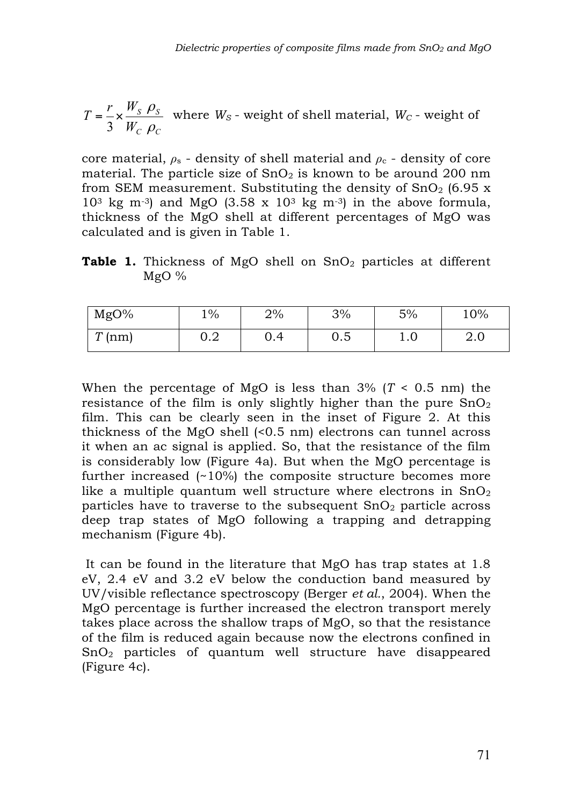$$
T = \frac{r}{3} \times \frac{W_S \rho_S}{W_C \rho_C}
$$
 where  $W_S$  - weight of shell material,  $W_C$  - weight of

core material,  $\rho_s$  - density of shell material and  $\rho_c$  - density of core material. The particle size of  $SnO<sub>2</sub>$  is known to be around 200 nm from SEM measurement. Substituting the density of  $SnO<sub>2</sub>$  (6.95 x)  $10^3$  kg m<sup>-3</sup>) and MgO (3.58 x  $10^3$  kg m<sup>-3</sup>) in the above formula, thickness of the MgO shell at different percentages of MgO was calculated and is given in Table 1.

**Table 1.** Thickness of MgO shell on SnO<sub>2</sub> particles at different MgO %

| MgO%  | $1\%$      | 2% | 3%         | 5%        | 10% |
|-------|------------|----|------------|-----------|-----|
| T(nm) | റ റ<br>◡.∠ |    | ∩ Ϝ<br>∪.∪ | $\cdot$ v | 4.V |

When the percentage of MgO is less than  $3\%$  ( $T < 0.5$  nm) the resistance of the film is only slightly higher than the pure  $SnO<sub>2</sub>$ film. This can be clearly seen in the inset of Figure 2. At this thickness of the MgO shell (<0.5 nm) electrons can tunnel across it when an ac signal is applied. So, that the resistance of the film is considerably low (Figure 4a). But when the MgO percentage is further increased (~10%) the composite structure becomes more like a multiple quantum well structure where electrons in  $SnO<sub>2</sub>$ particles have to traverse to the subsequent  $SnO<sub>2</sub>$  particle across deep trap states of MgO following a trapping and detrapping mechanism (Figure 4b).

It can be found in the literature that MgO has trap states at 1.8 eV, 2.4 eV and 3.2 eV below the conduction band measured by UV/visible reflectance spectroscopy (Berger *et al.*, 2004). When the MgO percentage is further increased the electron transport merely takes place across the shallow traps of MgO, so that the resistance of the film is reduced again because now the electrons confined in SnO2 particles of quantum well structure have disappeared (Figure 4c).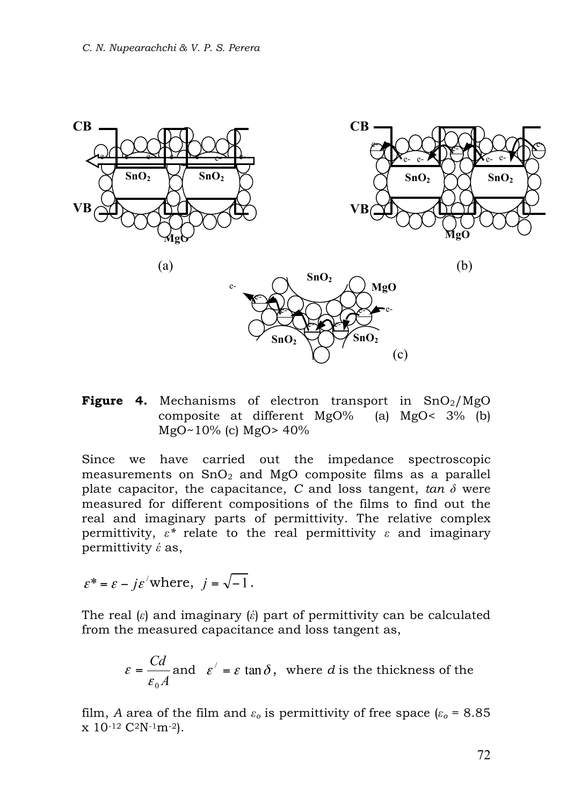

**Figure 4.** Mechanisms of electron transport in  $SnO<sub>2</sub>/MgO$ composite at different MgO% (a) MgO< 3% (b) MgO~10% (c) MgO> 40%

Since we have carried out the impedance spectroscopic measurements on  $SnO<sub>2</sub>$  and MgO composite films as a parallel plate capacitor, the capacitance,  $C$  and loss tangent,  $tan \delta$  were measured for different compositions of the films to find out the real and imaginary parts of permittivity. The relative complex permittivity,  $\varepsilon^*$  relate to the real permittivity  $\varepsilon$  and imaginary permittivity *έ* as,

$$
\varepsilon^* = \varepsilon - j\varepsilon' \text{where, } j = \sqrt{-1}.
$$

The real (*ε*) and imaginary (*έ*) part of permittivity can be calculated from the measured capacitance and loss tangent as,

$$
\varepsilon = \frac{Cd}{\varepsilon_0 A}
$$
 and  $\varepsilon' = \varepsilon \tan \delta$ , where *d* is the thickness of the

film, *A* area of the film and  $\varepsilon_o$  is permittivity of free space ( $\varepsilon_o$  = 8.85  $x 10^{-12} C^2N^{-1}m^{-2}$ .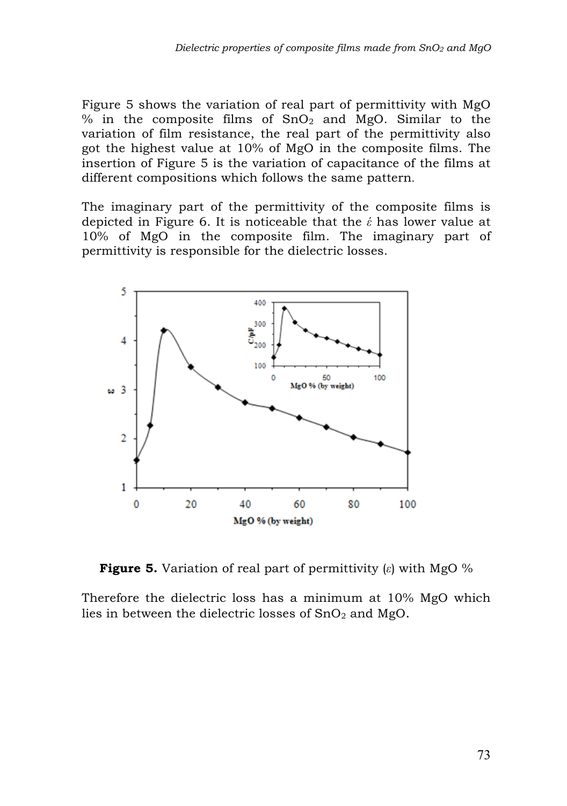Figure 5 shows the variation of real part of permittivity with MgO % in the composite films of  $SnO<sub>2</sub>$  and MgO. Similar to the variation of film resistance, the real part of the permittivity also got the highest value at 10% of MgO in the composite films. The insertion of Figure 5 is the variation of capacitance of the films at different compositions which follows the same pattern.

The imaginary part of the permittivity of the composite films is depicted in Figure 6. It is noticeable that the *έ* has lower value at 10% of MgO in the composite film. The imaginary part of permittivity is responsible for the dielectric losses.



**Figure 5.** Variation of real part of permittivity (*ε*) with MgO %

Therefore the dielectric loss has a minimum at 10% MgO which lies in between the dielectric losses of  $SnO<sub>2</sub>$  and MgO.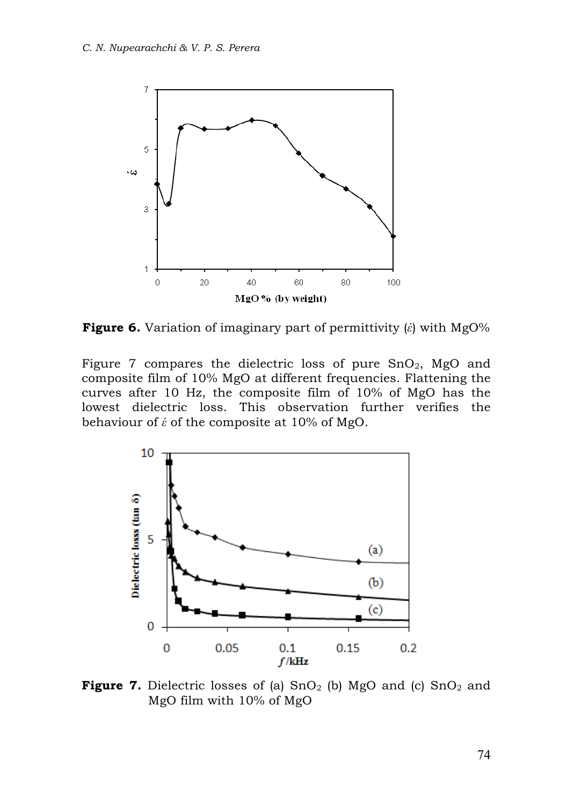

**Figure 6.** Variation of imaginary part of permittivity (*έ*) with MgO%

Figure 7 compares the dielectric loss of pure  $SnO<sub>2</sub>$ , MgO and composite film of 10% MgO at different frequencies. Flattening the curves after 10 Hz, the composite film of 10% of MgO has the lowest dielectric loss. This observation further verifies the behaviour of *έ* of the composite at 10% of MgO.



**Figure 7.** Dielectric losses of (a) SnO<sub>2</sub> (b) MgO and (c) SnO<sub>2</sub> and MgO film with 10% of MgO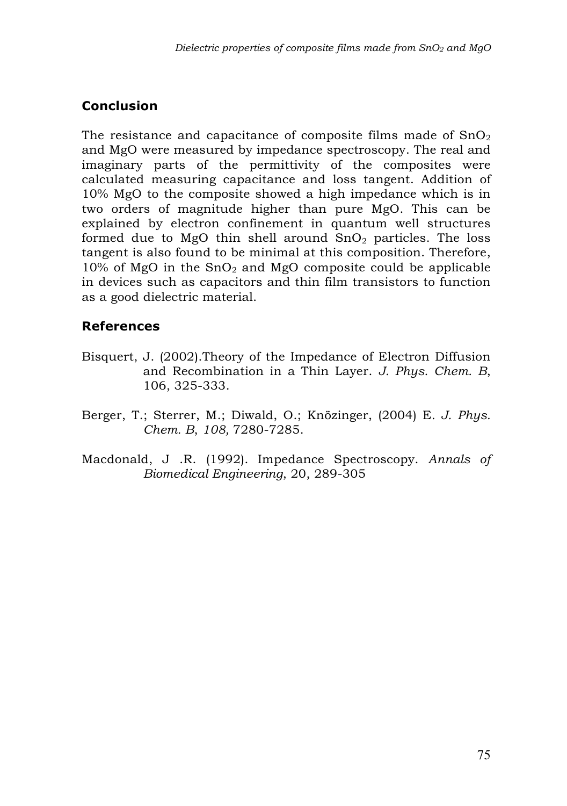# **Conclusion**

The resistance and capacitance of composite films made of  $SnO<sub>2</sub>$ and MgO were measured by impedance spectroscopy. The real and imaginary parts of the permittivity of the composites were calculated measuring capacitance and loss tangent. Addition of 10% MgO to the composite showed a high impedance which is in two orders of magnitude higher than pure MgO. This can be explained by electron confinement in quantum well structures formed due to MgO thin shell around  $SnO<sub>2</sub>$  particles. The loss tangent is also found to be minimal at this composition. Therefore,  $10\%$  of MgO in the SnO<sub>2</sub> and MgO composite could be applicable in devices such as capacitors and thin film transistors to function as a good dielectric material.

## **References**

- Bisquert, J. (2002).Theory of the Impedance of Electron Diffusion and Recombination in a Thin Layer. *J. Phys. Chem. B*, 106, 325-333.
- Berger, T.; Sterrer, M.; Diwald, O.; Knözinger, (2004) E*. J. Phys. Chem. B*, *108,* 7280-7285.
- Macdonald, J .R. (1992). Impedance Spectroscopy. *Annals of Biomedical Engineering*, 20, 289-305